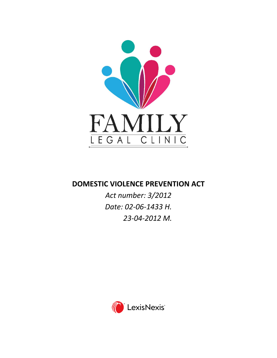

# **DOMESTIC VIOLENCE PREVENTION ACT**

*Act number: 3/2012 Date: 02-06-1433 H. 23-04-2012 M.*

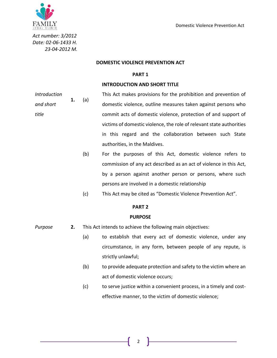

*Act number: 3/2012 Date: 02-06-1433 H. 23-04-2012 M.*

#### **DOMESTIC VIOLENCE PREVENTION ACT**

#### **PART 1**

#### **INTRODUCTION AND SHORT TITLE**

*Introduction and short title* **1.** (a) This Act makes provisions for the prohibition and prevention of domestic violence, outline measures taken against persons who commit acts of domestic violence, protection of and support of victims of domestic violence, the role of relevant state authorities in this regard and the collaboration between such State authorities, in the Maldives.

> (b) For the purposes of this Act, domestic violence refers to commission of any act described as an act of violence in this Act, by a person against another person or persons, where such persons are involved in a domestic relationship

(c) This Act may be cited as "Domestic Violence Prevention Act".

#### **PART 2**

#### **PURPOSE**

- *Purpose* **2.** This Act intends to achieve the following main objectives:
	- (a) to establish that every act of domestic violence, under any circumstance, in any form, between people of any repute, is strictly unlawful;
	- (b) to provide adequate protection and safety to the victim where an act of domestic violence occurs;
	- (c) to serve justice within a convenient process, in a timely and costeffective manner, to the victim of domestic violence;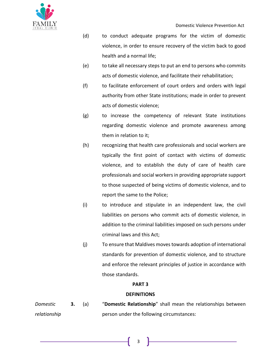

- (d) to conduct adequate programs for the victim of domestic violence, in order to ensure recovery of the victim back to good health and a normal life;
- (e) to take all necessary steps to put an end to persons who commits acts of domestic violence, and facilitate their rehabilitation;
- (f) to facilitate enforcement of court orders and orders with legal authority from other State institutions; made in order to prevent acts of domestic violence;
- (g) to increase the competency of relevant State institutions regarding domestic violence and promote awareness among them in relation to it;
- (h) recognizing that health care professionals and social workers are typically the first point of contact with victims of domestic violence, and to establish the duty of care of health care professionals and social workers in providing appropriate support to those suspected of being victims of domestic violence, and to report the same to the Police;
- (i) to introduce and stipulate in an independent law, the civil liabilities on persons who commit acts of domestic violence, in addition to the criminal liabilities imposed on such persons under criminal laws and this Act;
- (j) To ensure that Maldives moves towards adoption of international standards for prevention of domestic violence, and to structure and enforce the relevant principles of justice in accordance with those standards.

## **PART 3**

## **DEFINITIONS**

*Domestic relationship* **3.** (a) "**Domestic Relationship**" shall mean the relationships between person under the following circumstances: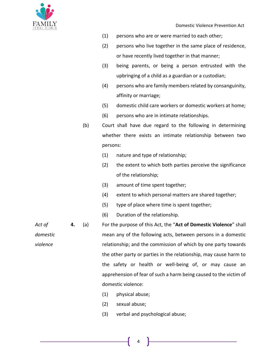

- (1) persons who are or were married to each other;
- (2) persons who live together in the same place of residence, or have recently lived together in that manner;
- (3) being parents, or being a person entrusted with the upbringing of a child as a guardian or a custodian;
- (4) persons who are family members related by consanguinity, affinity or marriage;
- (5) domestic child care workers or domestic workers at home;
- (6) persons who are in intimate relationships.
- (b) Court shall have due regard to the following in determining whether there exists an intimate relationship between two persons:
	- (1) nature and type of relationship;
	- (2) the extent to which both parties perceive the significance of the relationship;
	- (3) amount of time spent together;
	- (4) extent to which personal matters are shared together;
	- (5) type of place where time is spent together;
	- (6) Duration of the relationship.
- *Act of domestic violence* **4.** (a) For the purpose of this Act, the "**Act of Domestic Violence**" shall mean any of the following acts, between persons in a domestic relationship; and the commission of which by one party towards the other party or parties in the relationship, may cause harm to the safety or health or well-being of, or may cause an apprehension of fear of such a harm being caused to the victim of domestic violence:
	- (1) physical abuse;
	- (2) sexual abuse;
	- (3) verbal and psychological abuse;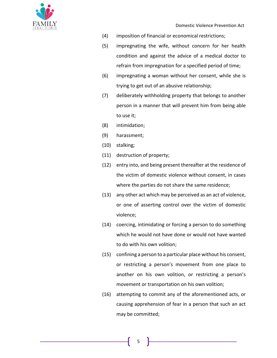

- (4) imposition of financial or economical restrictions;
- (5) impregnating the wife, without concern for her health condition and against the advice of a medical doctor to refrain from impregnation for a specified period of time;
- (6) impregnating a woman without her consent, while she is trying to get out of an abusive relationship;
- (7) deliberately withholding property that belongs to another person in a manner that will prevent him from being able to use it;
- (8) intimidation;
- (9) harassment;
- (10) stalking;
- (11) destruction of property;
- (12) entry into, and being present thereafter at the residence of the victim of domestic violence without consent, in cases where the parties do not share the same residence;
- (13) any other act which may be perceived as an act of violence, or one of asserting control over the victim of domestic violence;
- (14) coercing, intimidating or forcing a person to do something which he would not have done or would not have wanted to do with his own volition;
- (15) confining a person to a particular place without his consent, or restricting a person's movement from one place to another on his own volition, or restricting a person's movement or transportation on his own volition;
- (16) attempting to commit any of the aforementioned acts, or causing apprehension of fear in a person that such an act may be committed;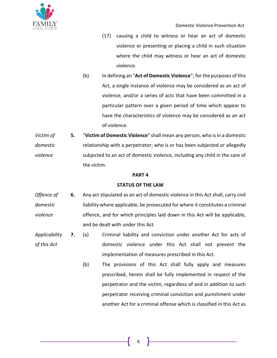

- (17) causing a child to witness or hear an act of domestic violence or presenting or placing a child in such situation where the child may witness or hear an act of domestic violence.
- (b) In defining an "**Act of Domestic Violence**"; for the purposes of this Act, a single instance of violence may be considered as an act of violence, and/or a series of acts that have been committed in a particular pattern over a given period of time which appear to have the characteristics of violence may be considered as an act of violence.
- *Victim of domestic violence* **5.** "**Victim of Domestic Violence**" shall mean any person, who is in a domestic relationship with a perpetrator; who is or has been subjected or allegedly subjected to an act of domestic violence, including any child in the care of the victim.

### **PART 4**

## **STATUS OF THE LAW**

- *Offence of domestic violence* **6.** Any act stipulated as an act of domestic violence in this Act shall, carry civil liability where applicable, be prosecuted for where it constitutes a criminal offence, and for which principles laid down in this Act will be applicable, and be dealt with under this Act.
- *Applicability of this Act* **7.** (a) Criminal liability and conviction under another Act for acts of domestic violence under this Act shall not prevent the implementation of measures prescribed in this Act.
	- (b) The provisions of this Act shall fully apply and measures prescribed, herein shall be fully implemented in respect of the perpetrator and the victim, regardless of and in addition to such perpetrator receiving criminal conviction and punishment under another Act for a criminal offense which is classified in this Act as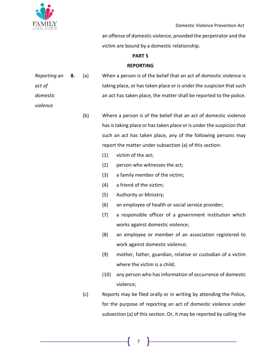

*violence*

an offense of domestic violence, provided the perpetrator and the victim are bound by a domestic relationship.

### **PART 5**

### **REPORTING**

| Reporting an | 8. | (a) | When a person is of the belief that an act of domestic violence is   |
|--------------|----|-----|----------------------------------------------------------------------|
| act of       |    |     | taking place, or has taken place or is under the suspicion that such |
| domestic     |    |     | an act has taken place, the matter shall be reported to the police.  |

- (b) Where a person is of the belief that an act of domestic violence has is taking place or has taken place or is under the suspicion that such an act has taken place, any of the following persons may report the matter under subsection (a) of this section:
	- (1) victim of the act;
	- (2) person who witnesses the act;
	- (3) a family member of the victim;
	- (4) a friend of the victim;
	- (5) Authority or Ministry;
	- (6) an employee of health or social service provider;
	- (7) a responsible officer of a government institution which works against domestic violence;
	- (8) an employee or member of an association registered to work against domestic violence;
	- (9) mother, father, guardian, relative or custodian of a victim where the victim is a child;
	- (10) any person who has information of occurrence of domestic violence;
- (c) Reports may be filed orally or in writing by attending the Police, for the purpose of reporting an act of domestic violence under subsection (a) of this section. Or, it may be reported by calling the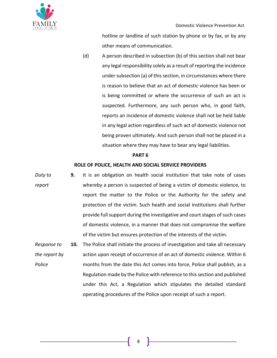

hotline or landline of such station by phone or by fax, or by any other means of communication.

(d) A person described in subsection (b) of this section shall not bear any legal responsibility solely as a result of reporting the incidence under subsection (a) of this section, in circumstances where there is reason to believe that an act of domestic violence has been or is being committed or where the occurrence of such an act is suspected. Furthermore, any such person who, in good faith, reports an incidence of domestic violence shall not be held liable in any legal action regardless of such act of domestic violence not being proven ultimately. And such person shall not be placed in a situation where they may have to bear any legal liabilities.

#### **PART 6**

### **ROLE OF POLICE, HEALTH AND SOCIAL SERVICE PROVIDERS**

- *Duty to report* **9.** It is an obligation on health social institution that take note of cases whereby a person is suspected of being a victim of domestic violence, to report the matter to the Police or the Authority for the safety and protection of the victim. Such health and social institutions shall further provide full support during the investigative and court stages of such cases of domestic violence, in a manner that does not compromise the welfare of the victim but ensures protection of the interests of the victim.
- *Response to the report by Police* **10.** The Police shall initiate the process of investigation and take all necessary action upon receipt of occurrence of an act of domestic violence. Within 6 months from the date this Act comes into force, Police shall publish, as a Regulation made by the Police with reference to this section and published under this Act, a Regulation which stipulates the detailed standard operating procedures of the Police upon receipt of such a report.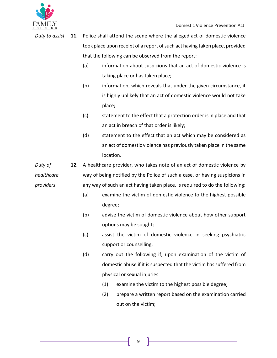

*Duty to assist* **11.** Police shall attend the scene where the alleged act of domestic violence took place upon receipt of a report of such act having taken place, provided that the following can be observed from the report:

- (a) information about suspicions that an act of domestic violence is taking place or has taken place;
- (b) information, which reveals that under the given circumstance, it is highly unlikely that an act of domestic violence would not take place;
- (c) statement to the effect that a protection order is in place and that an act in breach of that order is likely;
- (d) statement to the effect that an act which may be considered as an act of domestic violence has previously taken place in the same location.
- *Duty of healthcare providers* **12.** A healthcare provider, who takes note of an act of domestic violence by way of being notified by the Police of such a case, or having suspicions in any way of such an act having taken place, is required to do the following:
	- (a) examine the victim of domestic violence to the highest possible degree;
	- (b) advise the victim of domestic violence about how other support options may be sought;
	- (c) assist the victim of domestic violence in seeking psychiatric support or counselling;
	- (d) carry out the following if, upon examination of the victim of domestic abuse if it is suspected that the victim has suffered from physical or sexual injuries:
		- (1) examine the victim to the highest possible degree;
		- (2) prepare a written report based on the examination carried out on the victim;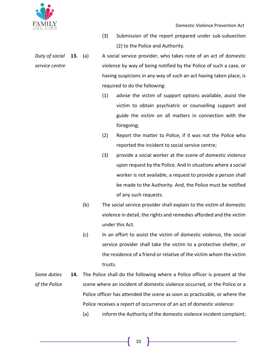

- (3) Submission of the report prepared under sub-subsection (2) to the Police and Authority.
- *Duty of social service centre* **13.** (a) A social service provider, who takes note of an act of domestic violence by way of being notified by the Police of such a case, or having suspicions in any way of such an act having taken place, is required to do the following:
	- (1) advise the victim of support options available, assist the victim to obtain psychiatric or counselling support and guide the victim on all matters in connection with the foregoing;
	- (2) Report the matter to Police, if it was not the Police who reported the incident to social service centre;
	- (3) provide a social worker at the scene of domestic violence upon request by the Police. And in situations where a social worker is not available, a request to provide a person shall be made to the Authority. And, the Police must be notified of any such requests.
	- (b) The social service provider shall explain to the victim of domestic violence in detail, the rights and remedies afforded and the victim under this Act.
	- (c) In an effort to assist the victim of domestic violence, the social service provider shall take the victim to a protective shelter, or the residence of a friend or relative of the victim whom the victim trusts.
- *Some duties of the Police* **14.** The Police shall do the following where a Police officer is present at the scene where an incident of domestic violence occurred, or the Police or a Police officer has attended the scene as soon as practicable, or where the Police receives a report of occurrence of an act of domestic violence:
	- (a) inform the Authority of the domestic violence incident complaint;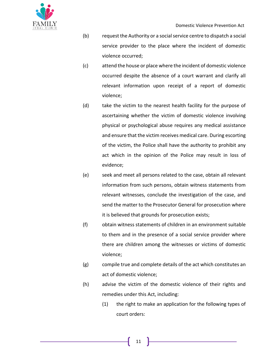

- (b) request the Authority or a social service centre to dispatch a social service provider to the place where the incident of domestic violence occurred;
- (c) attend the house or place where the incident of domestic violence occurred despite the absence of a court warrant and clarify all relevant information upon receipt of a report of domestic violence;
- (d) take the victim to the nearest health facility for the purpose of ascertaining whether the victim of domestic violence involving physical or psychological abuse requires any medical assistance and ensure that the victim receives medical care. During escorting of the victim, the Police shall have the authority to prohibit any act which in the opinion of the Police may result in loss of evidence;
- (e) seek and meet all persons related to the case, obtain all relevant information from such persons, obtain witness statements from relevant witnesses, conclude the investigation of the case, and send the matter to the Prosecutor General for prosecution where it is believed that grounds for prosecution exists;
- (f) obtain witness statements of children in an environment suitable to them and in the presence of a social service provider where there are children among the witnesses or victims of domestic violence;
- (g) compile true and complete details of the act which constitutes an act of domestic violence;
- (h) advise the victim of the domestic violence of their rights and remedies under this Act, including:
	- (1) the right to make an application for the following types of court orders: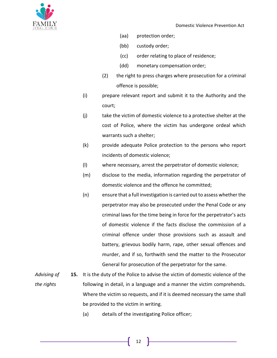

- (aa) protection order;
- (bb) custody order;
- (cc) order relating to place of residence;
- (dd) monetary compensation order;
- (2) the right to press charges where prosecution for a criminal offence is possible;
- (i) prepare relevant report and submit it to the Authority and the court;
- (j) take the victim of domestic violence to a protective shelter at the cost of Police, where the victim has undergone ordeal which warrants such a shelter;
- (k) provide adequate Police protection to the persons who report incidents of domestic violence;
- (l) where necessary, arrest the perpetrator of domestic violence;
- (m) disclose to the media, information regarding the perpetrator of domestic violence and the offence he committed;
- (n) ensure that a full investigation is carried out to assess whether the perpetrator may also be prosecuted under the Penal Code or any criminal laws for the time being in force for the perpetrator's acts of domestic violence if the facts disclose the commission of a criminal offence under those provisions such as assault and battery, grievous bodily harm, rape, other sexual offences and murder, and if so, forthwith send the matter to the Prosecutor General for prosecution of the perpetrator for the same.
- *Advising of the rights* **15.** It is the duty of the Police to advise the victim of domestic violence of the following in detail, in a language and a manner the victim comprehends. Where the victim so requests, and if it is deemed necessary the same shall be provided to the victim in writing.
	- (a) details of the investigating Police officer;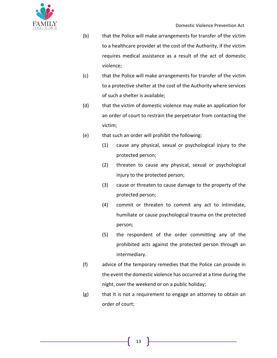- (b) that the Police will make arrangements for transfer of the victim to a healthcare provider at the cost of the Authority, if the victim requires medical assistance as a result of the act of domestic violence;
- (c) that the Police will make arrangements for transfer of the victim to a protective shelter at the cost of the Authority where services of such a shelter is available;
- (d) that the victim of domestic violence may make an application for an order of court to restrain the perpetrator from contacting the victim;
- (e) that such an order will prohibit the following:
	- (1) cause any physical, sexual or psychological injury to the protected person;
	- (2) threaten to cause any physical, sexual or psychological injury to the protected person;
	- (3) cause or threaten to cause damage to the property of the protected person;
	- (4) commit or threaten to commit any act to intimidate, humiliate or cause psychological trauma on the protected person;
	- (5) the respondent of the order committing any of the prohibited acts against the protected person through an intermediary.
- (f) advice of the temporary remedies that the Police can provide in the event the domestic violence has occurred at a time during the night, over the weekend or on a public holiday;
- (g) that it is not a requirement to engage an attorney to obtain an order of court;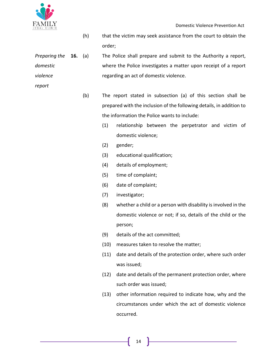

*report*

- (h) that the victim may seek assistance from the court to obtain the order;
- *Preparing the domestic violence*  **16.** (a) The Police shall prepare and submit to the Authority a report, where the Police investigates a matter upon receipt of a report regarding an act of domestic violence.
	- (b) The report stated in subsection (a) of this section shall be prepared with the inclusion of the following details, in addition to the information the Police wants to include:
		- (1) relationship between the perpetrator and victim of domestic violence;
		- (2) gender;
		- (3) educational qualification;
		- (4) details of employment;
		- (5) time of complaint;
		- (6) date of complaint;
		- (7) investigator;
		- (8) whether a child or a person with disability is involved in the domestic violence or not; if so, details of the child or the person;
		- (9) details of the act committed;
		- (10) measures taken to resolve the matter;
		- (11) date and details of the protection order, where such order was issued;
		- (12) date and details of the permanent protection order, where such order was issued;
		- (13) other information required to indicate how, why and the circumstances under which the act of domestic violence occurred.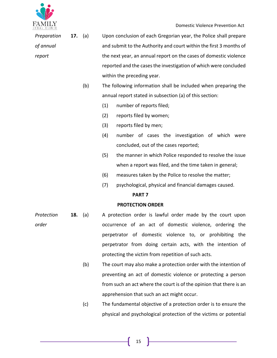

| <b>E CALLER</b><br>E GALL CLINTC |     |     |                                                                    | Domestic Violence Prevention Act                                    |  |  |  |
|----------------------------------|-----|-----|--------------------------------------------------------------------|---------------------------------------------------------------------|--|--|--|
| Preparation                      | 17. | (a) | Upon conclusion of each Gregorian year, the Police shall prepare   |                                                                     |  |  |  |
| of annual                        |     |     | and submit to the Authority and court within the first 3 months of |                                                                     |  |  |  |
| report                           |     |     |                                                                    | the next year, an annual report on the cases of domestic violence   |  |  |  |
|                                  |     |     |                                                                    | reported and the cases the investigation of which were concluded    |  |  |  |
|                                  |     |     |                                                                    | within the preceding year.                                          |  |  |  |
|                                  |     | (b) |                                                                    | The following information shall be included when preparing the      |  |  |  |
|                                  |     |     |                                                                    | annual report stated in subsection (a) of this section:             |  |  |  |
|                                  |     |     | (1)                                                                | number of reports filed;                                            |  |  |  |
|                                  |     |     | (2)                                                                | reports filed by women;                                             |  |  |  |
|                                  |     |     | (3)                                                                | reports filed by men;                                               |  |  |  |
|                                  |     |     | (4)                                                                | number of cases the investigation of which were                     |  |  |  |
|                                  |     |     |                                                                    | concluded, out of the cases reported;                               |  |  |  |
|                                  |     |     | (5)                                                                | the manner in which Police responded to resolve the issue           |  |  |  |
|                                  |     |     |                                                                    | when a report was filed, and the time taken in general;             |  |  |  |
|                                  |     |     | (6)                                                                | measures taken by the Police to resolve the matter;                 |  |  |  |
|                                  |     |     | (7)                                                                | psychological, physical and financial damages caused.               |  |  |  |
|                                  |     |     |                                                                    | PART <sub>7</sub>                                                   |  |  |  |
|                                  |     |     |                                                                    | <b>PROTECTION ORDER</b>                                             |  |  |  |
| Protection                       | 18. | (a) |                                                                    | A protection order is lawful order made by the court upon           |  |  |  |
| order                            |     |     |                                                                    | occurrence of an act of domestic violence, ordering the             |  |  |  |
|                                  |     |     |                                                                    | perpetrator of domestic violence to, or prohibiting the             |  |  |  |
|                                  |     |     |                                                                    | perpetrator from doing certain acts, with the intention of          |  |  |  |
|                                  |     |     |                                                                    | protecting the victim from repetition of such acts.                 |  |  |  |
|                                  |     | (b) |                                                                    | The court may also make a protection order with the intention of    |  |  |  |
|                                  |     |     |                                                                    | preventing an act of domestic violence or protecting a person       |  |  |  |
|                                  |     |     |                                                                    | from such an act where the court is of the opinion that there is an |  |  |  |

(c) The fundamental objective of a protection order is to ensure the physical and psychological protection of the victims or potential

<u> 1989 - Johann Barn, fransk politik (</u>

apprehension that such an act might occur.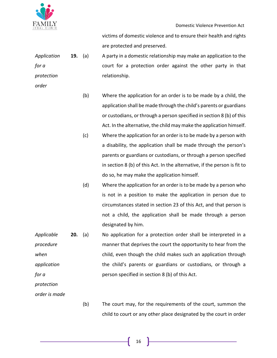

*order*

Domestic Violence Prevention Act

victims of domestic violence and to ensure their health and rights are protected and preserved.

- *Application for a protection*  **19.** (a) A party in a domestic relationship may make an application to the court for a protection order against the other party in that relationship.
	- (b) Where the application for an order is to be made by a child, the application shall be made through the child's parents or guardians or custodians, or through a person specified in section 8 (b) of this Act. In the alternative, the child may make the application himself.
	- (c) Where the application for an order is to be made by a person with a disability, the application shall be made through the person's parents or guardians or custodians, or through a person specified in section 8 (b) of this Act. In the alternative, if the person is fit to do so, he may make the application himself.
	- (d) Where the application for an order is to be made by a person who is not in a position to make the application in person due to circumstances stated in section 23 of this Act, and that person is not a child, the application shall be made through a person designated by him.
- *Applicable procedure when application for a*  **20.** (a) No application for a protection order shall be interpreted in a manner that deprives the court the opportunity to hear from the child, even though the child makes such an application through the child's parents or guardians or custodians, or through a person specified in section 8 (b) of this Act.

*protection* 

*order is made*

(b) The court may, for the requirements of the court, summon the child to court or any other place designated by the court in order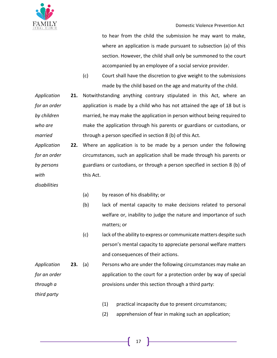

to hear from the child the submission he may want to make, where an application is made pursuant to subsection (a) of this section. However, the child shall only be summoned to the court accompanied by an employee of a social service provider.

(c) Court shall have the discretion to give weight to the submissions made by the child based on the age and maturity of the child.

*Application for an order by children who are married* **21.** Notwithstanding anything contrary stipulated in this Act, where an application is made by a child who has not attained the age of 18 but is married, he may make the application in person without being required to make the application through his parents or guardians or custodians, or through a person specified in section 8 (b) of this Act.

*Application for an order by persons with*  **22.** Where an application is to be made by a person under the following circumstances, such an application shall be made through his parents or guardians or custodians, or through a person specified in section 8 (b) of this Act.

- *disabilities*
- (a) by reason of his disability; or
- (b) lack of mental capacity to make decisions related to personal welfare or, inability to judge the nature and importance of such matters; or
- (c) lack of the ability to express or communicate matters despite such person's mental capacity to appreciate personal welfare matters and consequences of their actions.
- *Application for an order through a*  **23.** (a) Persons who are under the following circumstances may make an application to the court for a protection order by way of special provisions under this section through a third party:

*third party*

- (1) practical incapacity due to present circumstances;
- (2) apprehension of fear in making such an application;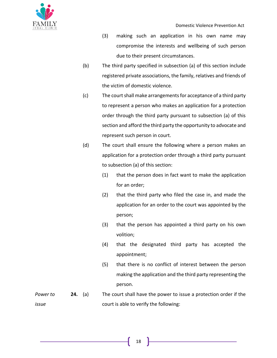- (3) making such an application in his own name may compromise the interests and wellbeing of such person due to their present circumstances.
- (b) The third party specified in subsection (a) of this section include registered private associations, the family, relatives and friends of the victim of domestic violence.
- (c) The court shall make arrangements for acceptance of a third party to represent a person who makes an application for a protection order through the third party pursuant to subsection (a) of this section and afford the third party the opportunity to advocate and represent such person in court.
- (d) The court shall ensure the following where a person makes an application for a protection order through a third party pursuant to subsection (a) of this section:
	- (1) that the person does in fact want to make the application for an order;
	- (2) that the third party who filed the case in, and made the application for an order to the court was appointed by the person;
	- (3) that the person has appointed a third party on his own volition;
	- (4) that the designated third party has accepted the appointment;
	- (5) that there is no conflict of interest between the person making the application and the third party representing the person.
- *Power to issue*  **24.** (a) The court shall have the power to issue a protection order if the court is able to verify the following: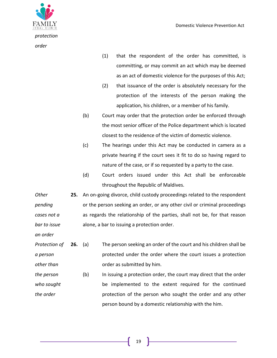

- (1) that the respondent of the order has committed, is committing, or may commit an act which may be deemed as an act of domestic violence for the purposes of this Act;
- (2) that issuance of the order is absolutely necessary for the protection of the interests of the person making the application, his children, or a member of his family.
- (b) Court may order that the protection order be enforced through the most senior officer of the Police department which is located closest to the residence of the victim of domestic violence.
- (c) The hearings under this Act may be conducted in camera as a private hearing if the court sees it fit to do so having regard to nature of the case, or if so requested by a party to the case.
- (d) Court orders issued under this Act shall be enforceable throughout the Republic of Maldives.

*Other pending cases not a bar to issue*  **25.** An on-going divorce, child custody proceedings related to the respondent or the person seeking an order, or any other civil or criminal proceedings as regards the relationship of the parties, shall not be, for that reason alone, a bar to issuing a protection order.

*an order*

- *Protection of a person other than*  **26.** (a) The person seeking an order of the court and his children shall be protected under the order where the court issues a protection order as submitted by him.
- *the person who sought the order* (b) In issuing a protection order, the court may direct that the order be implemented to the extent required for the continued protection of the person who sought the order and any other person bound by a domestic relationship with the him.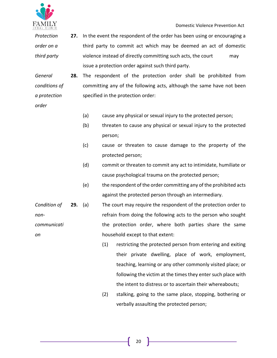

*Protection order on a third party* **27.** In the event the respondent of the order has been using or encouraging a third party to commit act which may be deemed an act of domestic violence instead of directly committing such acts, the court may issue a protection order against such third party.

*General conditions of a protection*  **28.** The respondent of the protection order shall be prohibited from committing any of the following acts, although the same have not been specified in the protection order:

- *order*
- (a) cause any physical or sexual injury to the protected person;
- (b) threaten to cause any physical or sexual injury to the protected person;
- (c) cause or threaten to cause damage to the property of the protected person;
- (d) commit or threaten to commit any act to intimidate, humiliate or cause psychological trauma on the protected person;
- (e) the respondent of the order committing any of the prohibited acts against the protected person through an intermediary.

*Condition of noncommunicati on* **29.** (a) The court may require the respondent of the protection order to refrain from doing the following acts to the person who sought the protection order, where both parties share the same household except to that extent:

- (1) restricting the protected person from entering and exiting their private dwelling, place of work, employment, teaching, learning or any other commonly visited place; or following the victim at the times they enter such place with the intent to distress or to ascertain their whereabouts;
- (2) stalking, going to the same place, stopping, bothering or verbally assaulting the protected person;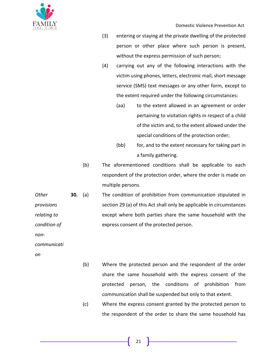

Domestic Violence Prevention Act

- (3) entering or staying at the private dwelling of the protected person or other place where such person is present, without the express permission of such person;
- (4) carrying out any of the following interactions with the victim using phones, letters, electronic mail, short message service (SMS) text messages or any other form, except to the extent required under the following circumstances:
	- (aa) to the extent allowed in an agreement or order pertaining to visitation rights in respect of a child of the victim and, to the extent allowed under the special conditions of the protection order;
	- (bb) for, and to the extent necessary for taking part in a family gathering.
- (b) The aforementioned conditions shall be applicable to each respondent of the protection order, where the order is made on multiple persons.
- *Other provisions relating to condition of*  **30.** (a) The condition of prohibition from communication stipulated in section 29 (a) of this Act shall only be applicable in circumstances except where both parties share the same household with the express consent of the protected person.

*non-*

*communicati*

*on*

- (b) Where the protected person and the respondent of the order share the same household with the express consent of the protected person, the conditions of prohibition from communication shall be suspended but only to that extent.
- (c) Where the express consent granted by the protected person to the respondent of the order to share the same household has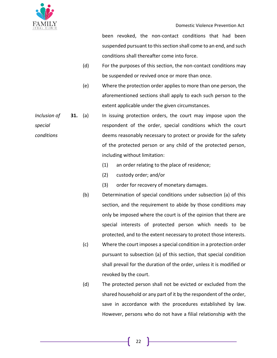

been revoked, the non-contact conditions that had been suspended pursuant to this section shall come to an end, and such conditions shall thereafter come into force.

- (d) For the purposes of this section, the non-contact conditions may be suspended or revived once or more than once.
- (e) Where the protection order applies to more than one person, the aforementioned sections shall apply to each such person to the extent applicable under the given circumstances.
- *Inclusion of special conditions* **31.** (a) In issuing protection orders, the court may impose upon the respondent of the order, special conditions which the court deems reasonably necessary to protect or provide for the safety of the protected person or any child of the protected person, including without limitation:
	- (1) an order relating to the place of residence;
	- (2) custody order; and/or
	- (3) order for recovery of monetary damages.
	- (b) Determination of special conditions under subsection (a) of this section, and the requirement to abide by those conditions may only be imposed where the court is of the opinion that there are special interests of protected person which needs to be protected, and to the extent necessary to protect those interests.
	- (c) Where the court imposes a special condition in a protection order pursuant to subsection (a) of this section, that special condition shall prevail for the duration of the order, unless it is modified or revoked by the court.
	- (d) The protected person shall not be evicted or excluded from the shared household or any part of it by the respondent of the order, save in accordance with the procedures established by law. However, persons who do not have a filial relationship with the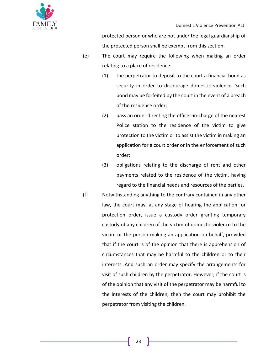

protected person or who are not under the legal guardianship of the protected person shall be exempt from this section.

- (e) The court may require the following when making an order relating to a place of residence:
	- (1) the perpetrator to deposit to the court a financial bond as security in order to discourage domestic violence. Such bond may be forfeited by the court in the event of a breach of the residence order;
	- (2) pass an order directing the officer-in-charge of the nearest Police station to the residence of the victim to give protection to the victim or to assist the victim in making an application for a court order or in the enforcement of such order;
	- (3) obligations relating to the discharge of rent and other payments related to the residence of the victim, having regard to the financial needs and resources of the parties.
- (f) Notwithstanding anything to the contrary contained in any other law, the court may, at any stage of hearing the application for protection order, issue a custody order granting temporary custody of any children of the victim of domestic violence to the victim or the person making an application on behalf, provided that if the court is of the opinion that there is apprehension of circumstances that may be harmful to the children or to their interests. And such an order may specify the arrangements for visit of such children by the perpetrator. However, if the court is of the opinion that any visit of the perpetrator may be harmful to the interests of the children, then the court may prohibit the perpetrator from visiting the children.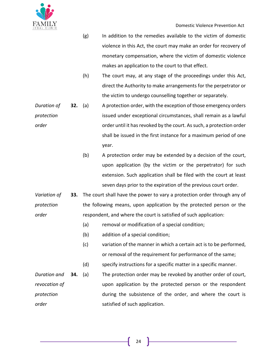

- (g) In addition to the remedies available to the victim of domestic violence in this Act, the court may make an order for recovery of monetary compensation, where the victim of domestic violence makes an application to the court to that effect.
- (h) The court may, at any stage of the proceedings under this Act, direct the Authority to make arrangements for the perpetrator or the victim to undergo counselling together or separately.
- *Duration of protection order* **32.** (a) A protection order, with the exception of those emergency orders issued under exceptional circumstances, shall remain as a lawful order until it has revoked by the court. As such, a protection order shall be issued in the first instance for a maximum period of one year.
	- (b) A protection order may be extended by a decision of the court, upon application (by the victim or the perpetrator) for such extension. Such application shall be filed with the court at least seven days prior to the expiration of the previous court order.
- *Variation of protection order* **33.** The court shall have the power to vary a protection order through any of the following means, upon application by the protected person or the respondent, and where the court is satisfied of such application:
	- (a) removal or modification of a special condition;
	- (b) addition of a special condition;
	- (c) variation of the manner in which a certain act is to be performed, or removal of the requirement for performance of the same;
	- (d) specify instructions for a specific matter in a specific manner.
- *Duration and revocation of protection order* **34.** (a) The protection order may be revoked by another order of court, upon application by the protected person or the respondent during the subsistence of the order, and where the court is satisfied of such application.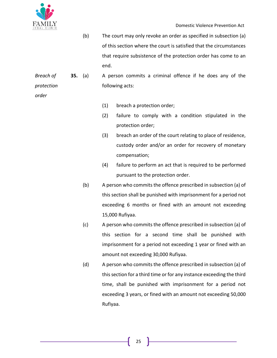

*order*

(b) The court may only revoke an order as specified in subsection (a) of this section where the court is satisfied that the circumstances that require subsistence of the protection order has come to an end.

*Breach of protection*  **35.** (a) A person commits a criminal offence if he does any of the following acts:

(1) breach a protection order;

- (2) failure to comply with a condition stipulated in the protection order;
- (3) breach an order of the court relating to place of residence, custody order and/or an order for recovery of monetary compensation;
- (4) failure to perform an act that is required to be performed pursuant to the protection order.
- (b) A person who commits the offence prescribed in subsection (a) of this section shall be punished with imprisonment for a period not exceeding 6 months or fined with an amount not exceeding 15,000 Rufiyaa.
- (c) A person who commits the offence prescribed in subsection (a) of this section for a second time shall be punished with imprisonment for a period not exceeding 1 year or fined with an amount not exceeding 30,000 Rufiyaa.
- (d) A person who commits the offence prescribed in subsection (a) of this section for a third time or for any instance exceeding the third time, shall be punished with imprisonment for a period not exceeding 3 years, or fined with an amount not exceeding 50,000 Rufiyaa.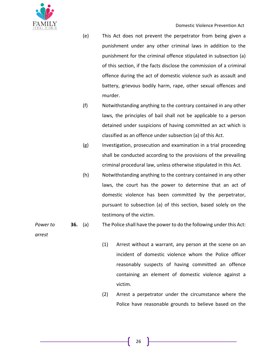

- (e) This Act does not prevent the perpetrator from being given a punishment under any other criminal laws in addition to the punishment for the criminal offence stipulated in subsection (a) of this section, if the facts disclose the commission of a criminal offence during the act of domestic violence such as assault and battery, grievous bodily harm, rape, other sexual offences and murder.
- (f) Notwithstanding anything to the contrary contained in any other laws, the principles of bail shall not be applicable to a person detained under suspicions of having committed an act which is classified as an offence under subsection (a) of this Act.
- (g) Investigation, prosecution and examination in a trial proceeding shall be conducted according to the provisions of the prevailing criminal procedural law, unless otherwise stipulated in this Act.
- (h) Notwithstanding anything to the contrary contained in any other laws, the court has the power to determine that an act of domestic violence has been committed by the perpetrator, pursuant to subsection (a) of this section, based solely on the testimony of the victim.

#### *Power to*  **36.** (a) The Police shall have the power to do the following under this Act:

*arrest*

- (1) Arrest without a warrant, any person at the scene on an incident of domestic violence whom the Police officer reasonably suspects of having committed an offence containing an element of domestic violence against a victim.
- (2) Arrest a perpetrator under the circumstance where the Police have reasonable grounds to believe based on the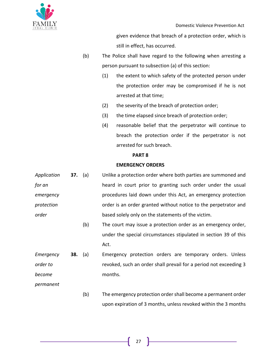

given evidence that breach of a protection order, which is still in effect, has occurred.

- (b) The Police shall have regard to the following when arresting a person pursuant to subsection (a) of this section:
	- (1) the extent to which safety of the protected person under the protection order may be compromised if he is not arrested at that time;
	- (2) the severity of the breach of protection order;
	- (3) the time elapsed since breach of protection order;
	- (4) reasonable belief that the perpetrator will continue to breach the protection order if the perpetrator is not arrested for such breach.

upon expiration of 3 months, unless revoked within the 3 months

### **PART 8**

## **EMERGENCY ORDERS**

| Application | <b>37.</b> (a) |     | Unlike a protection order where both parties are summoned and     |
|-------------|----------------|-----|-------------------------------------------------------------------|
| for an      |                |     | heard in court prior to granting such order under the usual       |
| emergency   |                |     | procedures laid down under this Act, an emergency protection      |
| protection  |                |     | order is an order granted without notice to the perpetrator and   |
| order       |                |     | based solely only on the statements of the victim.                |
|             |                | (b) | The court may issue a protection order as an emergency order,     |
|             |                |     | under the special circumstances stipulated in section 39 of this  |
|             |                |     | Act.                                                              |
| Emergency   | 38.            | (a) | Emergency protection orders are temporary orders. Unless          |
| order to    |                |     | revoked, such an order shall prevail for a period not exceeding 3 |
| become      |                |     | months.                                                           |
| permanent   |                |     |                                                                   |
|             |                | (b) | The emergency protection order shall become a permanent order     |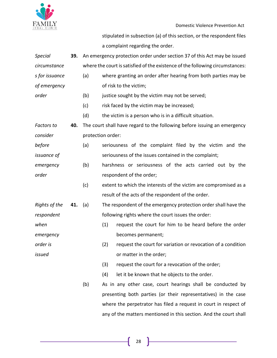

Domestic Violence Prevention Act

<u> 1989 - Johann Barbara, martxa a</u>

stipulated in subsection (a) of this section, or the respondent files a complaint regarding the order.

| <b>Special</b>    | 39. | An emergency protection order under section 37 of this Act may be issued      |                                                                          |                                                                   |  |
|-------------------|-----|-------------------------------------------------------------------------------|--------------------------------------------------------------------------|-------------------------------------------------------------------|--|
| circumstance      |     | where the court is satisfied of the existence of the following circumstances: |                                                                          |                                                                   |  |
| s for issuance    |     | (a)                                                                           | where granting an order after hearing from both parties may be           |                                                                   |  |
| of emergency      |     |                                                                               | of risk to the victim;                                                   |                                                                   |  |
| order             |     | (b)                                                                           | justice sought by the victim may not be served;                          |                                                                   |  |
|                   |     | (c)                                                                           |                                                                          | risk faced by the victim may be increased;                        |  |
|                   |     | (d)                                                                           |                                                                          | the victim is a person who is in a difficult situation.           |  |
| <b>Factors to</b> | 40. |                                                                               | The court shall have regard to the following before issuing an emergency |                                                                   |  |
| consider          |     |                                                                               | protection order:                                                        |                                                                   |  |
| before            |     | (a)                                                                           | seriousness of the complaint filed by the victim and the                 |                                                                   |  |
| issuance of       |     |                                                                               | seriousness of the issues contained in the complaint;                    |                                                                   |  |
| emergency         |     | (b)                                                                           | harshness or seriousness of the acts carried out by the                  |                                                                   |  |
| order             |     |                                                                               | respondent of the order;                                                 |                                                                   |  |
|                   |     | (c)                                                                           |                                                                          | extent to which the interests of the victim are compromised as a  |  |
|                   |     |                                                                               |                                                                          | result of the acts of the respondent of the order.                |  |
| Rights of the     | 41. | (a)                                                                           |                                                                          | The respondent of the emergency protection order shall have the   |  |
| respondent        |     |                                                                               |                                                                          | following rights where the court issues the order:                |  |
| when              |     |                                                                               | (1)                                                                      | request the court for him to be heard before the order            |  |
| emergency         |     |                                                                               |                                                                          | becomes permanent;                                                |  |
| order is          |     |                                                                               | (2)                                                                      | request the court for variation or revocation of a condition      |  |
| issued            |     |                                                                               |                                                                          | or matter in the order;                                           |  |
|                   |     |                                                                               | (3)                                                                      | request the court for a revocation of the order;                  |  |
|                   |     |                                                                               | (4)                                                                      | let it be known that he objects to the order.                     |  |
|                   |     | (b)                                                                           |                                                                          | As in any other case, court hearings shall be conducted by        |  |
|                   |     |                                                                               |                                                                          | presenting both parties (or their representatives) in the case    |  |
|                   |     |                                                                               |                                                                          | where the perpetrator has filed a request in court in respect of  |  |
|                   |     |                                                                               |                                                                          | any of the matters mentioned in this section. And the court shall |  |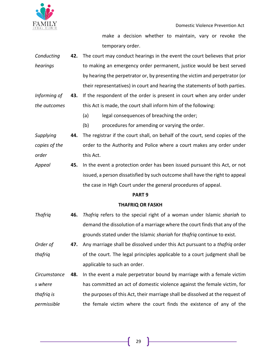

make a decision whether to maintain, vary or revoke the temporary order.

- *Conducting hearings* **42.** The court may conduct hearings in the event the court believes that prior to making an emergency order permanent, justice would be best served by hearing the perpetrator or, by presenting the victim and perpetrator (or their representatives) in court and hearing the statements of both parties.
- *Informing of the outcomes* **43.** If the respondent of the order is present in court when any order under this Act is made, the court shall inform him of the following:
	- (a) legal consequences of breaching the order;
	- (b) procedures for amending or varying the order.

*Supplying copies of the order* **44.** The registrar if the court shall, on behalf of the court, send copies of the order to the Authority and Police where a court makes any order under this Act.

*Appeal* **45.** In the event a protection order has been issued pursuant this Act, or not issued, a person dissatisfied by such outcome shall have the right to appeal the case in High Court under the general procedures of appeal.

## **PART 9**

## **THAFRIQ OR FASKH**

- *Thafriq* **46.** *Thafriq* refers to the special right of a woman under Islamic *shariah* to demand the dissolution of a marriage where the court finds that any of the grounds stated under the Islamic *shariah* for *thafriq* continue to exist.
- *Order of thafriq* **47.** Any marriage shall be dissolved under this Act pursuant to a *thafriq* order of the court. The legal principles applicable to a court judgment shall be applicable to such an order.

*Circumstance s where thafriq is permissible* **48.** In the event a male perpetrator bound by marriage with a female victim has committed an act of domestic violence against the female victim, for the purposes of this Act, their marriage shall be dissolved at the request of the female victim where the court finds the existence of any of the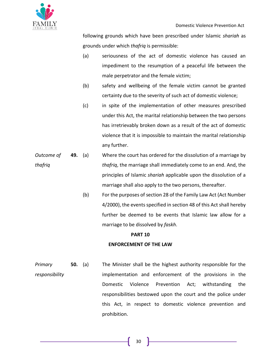

following grounds which have been prescribed under Islamic *shariah* as grounds under which *thafriq* is permissible:

- (a) seriousness of the act of domestic violence has caused an impediment to the resumption of a peaceful life between the male perpetrator and the female victim;
- (b) safety and wellbeing of the female victim cannot be granted certainty due to the severity of such act of domestic violence;
- (c) in spite of the implementation of other measures prescribed under this Act, the marital relationship between the two persons has irretrievably broken down as a result of the act of domestic violence that it is impossible to maintain the marital relationship any further.
- *Outcome of thafriq* **49.** (a) Where the court has ordered for the dissolution of a marriage by *thafriq*, the marriage shall immediately come to an end. And, the principles of Islamic *shariah* applicable upon the dissolution of a marriage shall also apply to the two persons, thereafter.
	- (b) For the purposes of section 28 of the Family Law Act (Act Number 4/2000), the events specified in section 48 of this Act shall hereby further be deemed to be events that Islamic law allow for a marriage to be dissolved by *faskh*.

## **PART 10**

## **ENFORCEMENT OF THE LAW**

*Primary responsibility* **50.** (a) The Minister shall be the highest authority responsible for the implementation and enforcement of the provisions in the Domestic Violence Prevention Act; withstanding the responsibilities bestowed upon the court and the police under this Act, in respect to domestic violence prevention and prohibition.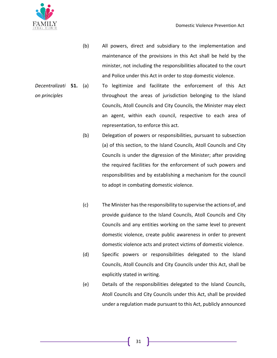

- (b) All powers, direct and subsidiary to the implementation and maintenance of the provisions in this Act shall be held by the minister, not including the responsibilities allocated to the court and Police under this Act in order to stop domestic violence.
- *Decentralizati on principles* **51.** (a) To legitimize and facilitate the enforcement of this Act throughout the areas of jurisdiction belonging to the Island Councils, Atoll Councils and City Councils, the Minister may elect an agent, within each council, respective to each area of representation, to enforce this act.
	- (b) Delegation of powers or responsibilities, pursuant to subsection (a) of this section, to the Island Councils, Atoll Councils and City Councils is under the digression of the Minister; after providing the required facilities for the enforcement of such powers and responsibilities and by establishing a mechanism for the council to adopt in combating domestic violence.
	- (c) The Minister has the responsibility to supervise the actions of, and provide guidance to the Island Councils, Atoll Councils and City Councils and any entities working on the same level to prevent domestic violence, create public awareness in order to prevent domestic violence acts and protect victims of domestic violence.
	- (d) Specific powers or responsibilities delegated to the Island Councils, Atoll Councils and City Councils under this Act, shall be explicitly stated in writing.
	- (e) Details of the responsibilities delegated to the Island Councils, Atoll Councils and City Councils under this Act, shall be provided under a regulation made pursuant to this Act, publicly announced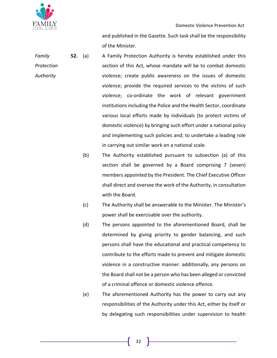

and published in the Gazette. Such task shall be the responsibility of the Minister.

- *Family Protection Authority* **52.** (a) A Family Protection Authority is hereby established under this section of this Act, whose mandate will be to combat domestic violence; create public awareness on the issues of domestic violence; provide the required services to the victims of such violence; co-ordinate the work of relevant government institutions including the Police and the Health Sector, coordinate various local efforts made by individuals (to protect victims of domestic violence) by bringing such effort under a national policy and implementing such policies and; to undertake a leading role in carrying out similar work on a national scale.
	- (b) The Authority established pursuant to subsection (a) of this section shall be governed by a Board comprising 7 (seven) members appointed by the President. The Chief Executive Officer shall direct and oversee the work of the Authority, in consultation with the Board.
	- (c) The Authority shall be answerable to the Minister. The Minister's power shall be exercisable over the authority.
	- (d) The persons appointed to the aforementioned Board, shall be determined by giving priority to gender balancing, and such persons shall have the educational and practical competency to contribute to the efforts made to prevent and mitigate domestic violence in a constructive manner. additionally, any persons on the Board shall not be a person who has been alleged or convicted of a criminal offence or domestic violence offence.
	- (e) The aforementioned Authority has the power to carry out any responsibilities of the Authority under this Act, either by itself or by delegating such responsibilities under supervision to health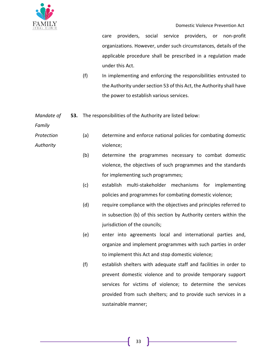

care providers, social service providers, or non-profit organizations. However, under such circumstances, details of the applicable procedure shall be prescribed in a regulation made under this Act.

(f) In implementing and enforcing the responsibilities entrusted to the Authority under section 53 of this Act, the Authority shall have the power to establish various services.

*Mandate of*  **53.** The responsibilities of the Authority are listed below:

*Family* 

- *Protection Authority* (a) determine and enforce national policies for combating domestic violence;
	- (b) determine the programmes necessary to combat domestic violence, the objectives of such programmes and the standards for implementing such programmes;
	- (c) establish multi-stakeholder mechanisms for implementing policies and programmes for combating domestic violence;
	- (d) require compliance with the objectives and principles referred to in subsection (b) of this section by Authority centers within the jurisdiction of the councils;
	- (e) enter into agreements local and international parties and, organize and implement programmes with such parties in order to implement this Act and stop domestic violence;
	- (f) establish shelters with adequate staff and facilities in order to prevent domestic violence and to provide temporary support services for victims of violence; to determine the services provided from such shelters; and to provide such services in a sustainable manner;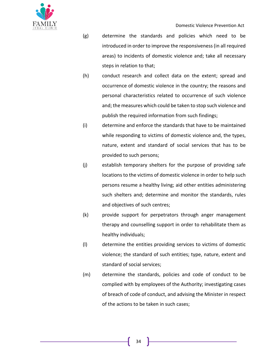

- (g) determine the standards and policies which need to be introduced in order to improve the responsiveness (in all required areas) to incidents of domestic violence and; take all necessary steps in relation to that;
- (h) conduct research and collect data on the extent; spread and occurrence of domestic violence in the country; the reasons and personal characteristics related to occurrence of such violence and; the measures which could be taken to stop such violence and publish the required information from such findings;
- (i) determine and enforce the standards that have to be maintained while responding to victims of domestic violence and, the types, nature, extent and standard of social services that has to be provided to such persons;
- (j) establish temporary shelters for the purpose of providing safe locations to the victims of domestic violence in order to help such persons resume a healthy living; aid other entities administering such shelters and; determine and monitor the standards, rules and objectives of such centres;
- (k) provide support for perpetrators through anger management therapy and counselling support in order to rehabilitate them as healthy individuals;
- (l) determine the entities providing services to victims of domestic violence; the standard of such entities; type, nature, extent and standard of social services;
- (m) determine the standards, policies and code of conduct to be complied with by employees of the Authority; investigating cases of breach of code of conduct, and advising the Minister in respect of the actions to be taken in such cases;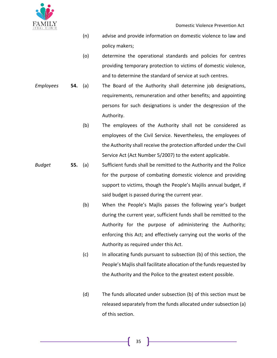

- (n) advise and provide information on domestic violence to law and policy makers;
- (o) determine the operational standards and policies for centres providing temporary protection to victims of domestic violence, and to determine the standard of service at such centres.
- *Employees* **54.** (a) The Board of the Authority shall determine job designations, requirements, remuneration and other benefits; and appointing persons for such designations is under the desgression of the Authority.
	- (b) The employees of the Authority shall not be considered as employees of the Civil Service. Nevertheless, the employees of the Authority shall receive the protection afforded under the Civil Service Act (Act Number 5/2007) to the extent applicable.
- *Budget* **55.** (a) Sufficient funds shall be remitted to the Authority and the Police for the purpose of combating domestic violence and providing support to victims, though the People's Majilis annual budget, if said budget is passed during the current year.
	- (b) When the People's Majlis passes the following year's budget during the current year, sufficient funds shall be remitted to the Authority for the purpose of administering the Authority; enforcing this Act; and effectively carrying out the works of the Authority as required under this Act.
	- (c) In allocating funds pursuant to subsection (b) of this section, the People's Majlis shall facilitate allocation of the funds requested by the Authority and the Police to the greatest extent possible.
	- (d) The funds allocated under subsection (b) of this section must be released separately from the funds allocated under subsection (a) of this section.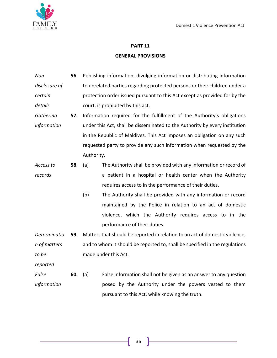

#### **PART 11**

### **GENERAL PROVISIONS**

*Nondisclosure of certain details* **56.** Publishing information, divulging information or distributing information to unrelated parties regarding protected persons or their children under a protection order issued pursuant to this Act except as provided for by the court, is prohibited by this act.

*Gathering information* **57.** Information required for the fulfillment of the Authority's obligations under this Act, shall be disseminated to the Authority by every institution in the Republic of Maldives. This Act imposes an obligation on any such requested party to provide any such information when requested by the Authority.

*Access to records* **58.** (a) The Authority shall be provided with any information or record of a patient in a hospital or health center when the Authority requires access to in the performance of their duties.

> (b) The Authority shall be provided with any information or record maintained by the Police in relation to an act of domestic violence, which the Authority requires access to in the performance of their duties.

*Determinatio n of matters to be*  **59.** Matters that should be reported in relation to an act of domestic violence, and to whom it should be reported to, shall be specified in the regulations made under this Act.

*reported*

*False information* **60.** (a) False information shall not be given as an answer to any question posed by the Authority under the powers vested to them pursuant to this Act, while knowing the truth.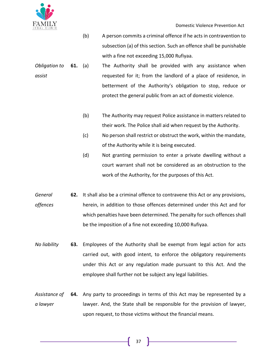

- (b) A person commits a criminal offence if he acts in contravention to subsection (a) of this section. Such an offence shall be punishable with a fine not exceeding 15,000 Rufiyaa.
- *Obligation to assist* **61.** (a) The Authority shall be provided with any assistance when requested for it; from the landlord of a place of residence, in betterment of the Authority's obligation to stop, reduce or protect the general public from an act of domestic violence.
	- (b) The Authority may request Police assistance in matters related to their work. The Police shall aid when request by the Authority.
	- (c) No person shall restrict or obstruct the work, within the mandate, of the Authority while it is being executed.
	- (d) Not granting permission to enter a private dwelling without a court warrant shall not be considered as an obstruction to the work of the Authority, for the purposes of this Act.
- *General offences* **62.** It shall also be a criminal offence to contravene this Act or any provisions, herein, in addition to those offences determined under this Act and for which penalties have been determined. The penalty for such offences shall be the imposition of a fine not exceeding 10,000 Rufiyaa.
- *No liability* **63.** Employees of the Authority shall be exempt from legal action for acts carried out, with good intent, to enforce the obligatory requirements under this Act or any regulation made pursuant to this Act. And the employee shall further not be subject any legal liabilities.
- *Assistance of a lawyer* **64.** Any party to proceedings in terms of this Act may be represented by a lawyer. And, the State shall be responsible for the provision of lawyer, upon request, to those victims without the financial means.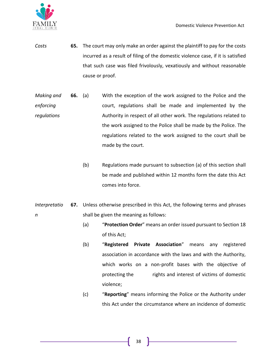

- *Costs* **65.** The court may only make an order against the plaintiff to pay for the costs incurred as a result of filing of the domestic violence case, if it is satisfied that such case was filed frivolously, vexatiously and without reasonable cause or proof.
- *Making and enforcing regulations* **66.** (a) With the exception of the work assigned to the Police and the court, regulations shall be made and implemented by the Authority in respect of all other work. The regulations related to the work assigned to the Police shall be made by the Police. The regulations related to the work assigned to the court shall be made by the court.
	- (b) Regulations made pursuant to subsection (a) of this section shall be made and published within 12 months form the date this Act comes into force.
- *Interpretatio n* **67.** Unless otherwise prescribed in this Act, the following terms and phrases shall be given the meaning as follows:
	- (a) "**Protection Order**" means an order issued pursuant to Section 18 of this Act;
	- (b) "**Registered Private Association**" means any registered association in accordance with the laws and with the Authority, which works on a non-profit bases with the objective of protecting the rights and interest of victims of domestic violence;
	- (c) "**Reporting**" means informing the Police or the Authority under this Act under the circumstance where an incidence of domestic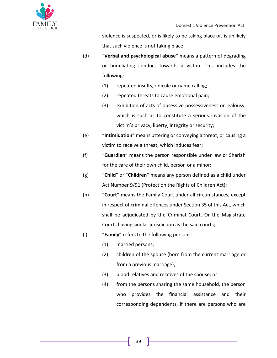

violence is suspected, or is likely to be taking place or, is unlikely that such violence is not taking place;

- (d) "**Verbal and psychological abuse**" means a pattern of degrading or humiliating conduct towards a victim. This includes the following:
	- (1) repeated insults, ridicule or name calling;
	- (2) repeated threats to cause emotional pain;
	- (3) exhibition of acts of obsessive possessiveness or jealousy, which is such as to constitute a serious invasion of the victim's privacy, liberty, integrity or security;
- (e) "**Intimidation**" means uttering or conveying a threat, or causing a victim to receive a threat, which induces fear;
- (f) "**Guardian**" means the person responsible under law or Shariah for the care of their own child, person or a minor;
- (g) "**Child**" or "**Children**" means any person defined as a child under Act Number 9/91 (Protection the Rights of Children Act);
- (h) "**Court**" means the Family Court under all circumstances, except in respect of criminal offences under Section 35 of this Act, which shall be adjudicated by the Criminal Court. Or the Magistrate Courts having similar jurisdiction as the said courts;
- (i) "**Family**" refers to the following persons:
	- (1) married persons;
	- (2) children of the spouse (born from the current marriage or from a previous marriage);
	- (3) blood relatives and relatives of the spouse; or
	- (4) from the persons sharing the same household, the person who provides the financial assistance and their corresponding dependents, if there are persons who are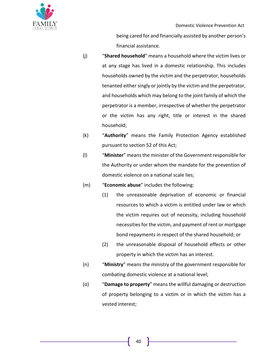

being cared for and financially assisted by another person's financial assistance.

- (j) "**Shared household**" means a household where the victim lives or at any stage has lived in a domestic relationship. This includes households owned by the victim and the perpetrator, households tenanted either singly or jointly by the victim and the perpetrator, and households which may belong to the joint family of which the perpetrator is a member, irrespective of whether the perpetrator or the victim has any right, title or interest in the shared household;
- (k) "**Authority**" means the Family Protection Agency established pursuant to section 52 of this Act;
- (l) "**Minister**" means the minister of the Government responsible for the Authority or under whom the mandate for the prevention of domestic violence on a national scale lies;
- (m) "**Economic abuse**" includes the following:
	- (1) the unreasonable deprivation of economic or financial resources to which a victim is entitled under law or which the victim requires out of necessity, including household necessities for the victim, and payment of rent or mortgage bond repayments in respect of the shared household; or
	- (2) the unreasonable disposal of household effects or other property in which the victim has an interest.
- (n) "**Ministry**" means the ministry of the government responsible for combating domestic violence at a national level;
- (o) "**Damage to property**" means the willful damaging or destruction of property belonging to a victim or in which the victim has a vested interest;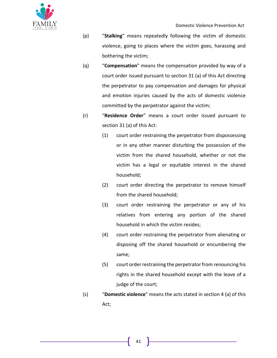

- (p) "**Stalking**" means repeatedly following the victim of domestic violence, going to places where the victim goes, harassing and bothering the victim;
- (q) "**Compensation**" means the compensation provided by way of a court order issued pursuant to section 31 (a) of this Act directing the perpetrator to pay compensation and damages for physical and emotion injuries caused by the acts of domestic violence committed by the perpetrator against the victim;
- (r) "**Residence Order**" means a court order issued pursuant to section 31 (a) of this Act:
	- (1) court order restraining the perpetrator from dispossessing or in any other manner disturbing the possession of the victim from the shared household, whether or not the victim has a legal or equitable interest in the shared household;
	- (2) court order directing the perpetrator to remove himself from the shared household;
	- (3) court order restraining the perpetrator or any of his relatives from entering any portion of the shared household in which the victim resides;
	- (4) court order restraining the perpetrator from alienating or disposing off the shared household or encumbering the same;
	- (5) court order restraining the perpetrator from renouncing his rights in the shared household except with the leave of a judge of the court;
- (s) "**Domestic violence**" means the acts stated in section 4 (a) of this Act;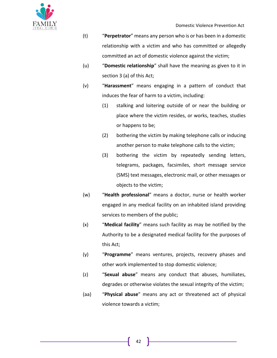

- (t) "**Perpetrator**" means any person who is or has been in a domestic relationship with a victim and who has committed or allegedly committed an act of domestic violence against the victim;
- (u) "**Domestic relationship**" shall have the meaning as given to it in section 3 (a) of this Act;
- (v) "**Harassment**" means engaging in a pattern of conduct that induces the fear of harm to a victim, including:
	- (1) stalking and loitering outside of or near the building or place where the victim resides, or works, teaches, studies or happens to be;
	- (2) bothering the victim by making telephone calls or inducing another person to make telephone calls to the victim;
	- (3) bothering the victim by repeatedly sending letters, telegrams, packages, facsimiles, short message service (SMS) text messages, electronic mail, or other messages or objects to the victim;
- (w) "**Health professional**" means a doctor, nurse or health worker engaged in any medical facility on an inhabited island providing services to members of the public;
- (x) "**Medical facility**" means such facility as may be notified by the Authority to be a designated medical facility for the purposes of this Act;
- (y) "**Programme**" means ventures, projects, recovery phases and other work implemented to stop domestic violence;
- (z) "**Sexual abuse**" means any conduct that abuses, humiliates, degrades or otherwise violates the sexual integrity of the victim;
- (aa) "**Physical abuse**" means any act or threatened act of physical violence towards a victim;